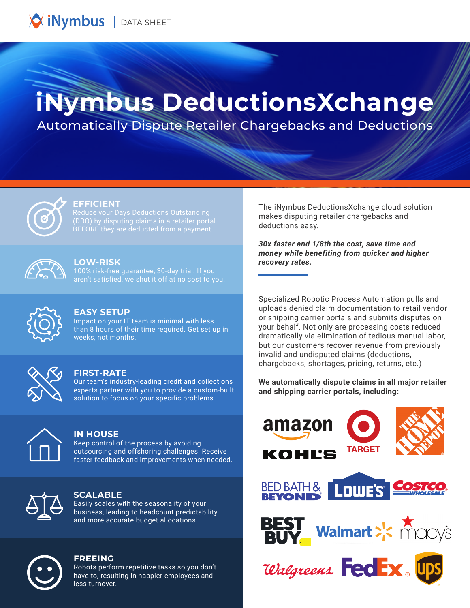

# **iNymbus DeductionsXchange**

Automatically Dispute Retailer Chargebacks and Deductions



#### **EFFICIENT**

Reduce your Days Deductions Outstanding BEFORE they are deducted from a payment.



### **LOW-RISK**

100% risk-free guarantee, 30-day trial. If you aren't satisfied, we shut it off at no cost to you.



#### **EASY SETUP**

Impact on your IT team is minimal with less than 8 hours of their time required. Get set up in weeks, not months.



#### **FIRST-RATE**

Our team's industry-leading credit and collections experts partner with you to provide a custom-built solution to focus on your specific problems.



#### **IN HOUSE**

Keep control of the process by avoiding outsourcing and offshoring challenges. Receive faster feedback and improvements when needed.



#### **SCALABLE**

Easily scales with the seasonality of your business, leading to headcount predictability and more accurate budget allocations.



#### **FREEING**

Robots perform repetitive tasks so you don't have to, resulting in happier employees and less turnover.

The iNymbus DeductionsXchange cloud solution makes disputing retailer chargebacks and deductions easy.

*30x faster and 1/8th the cost, save time and money while benefiting from quicker and higher recovery rates.*

Specialized Robotic Process Automation pulls and uploads denied claim documentation to retail vendor or shipping carrier portals and submits disputes on your behalf. Not only are processing costs reduced dramatically via elimination of tedious manual labor, but our customers recover revenue from previously invalid and undisputed claims (deductions, chargebacks, shortages, pricing, returns, etc.)

**We automatically dispute claims in all major retailer and shipping carrier portals, including:**